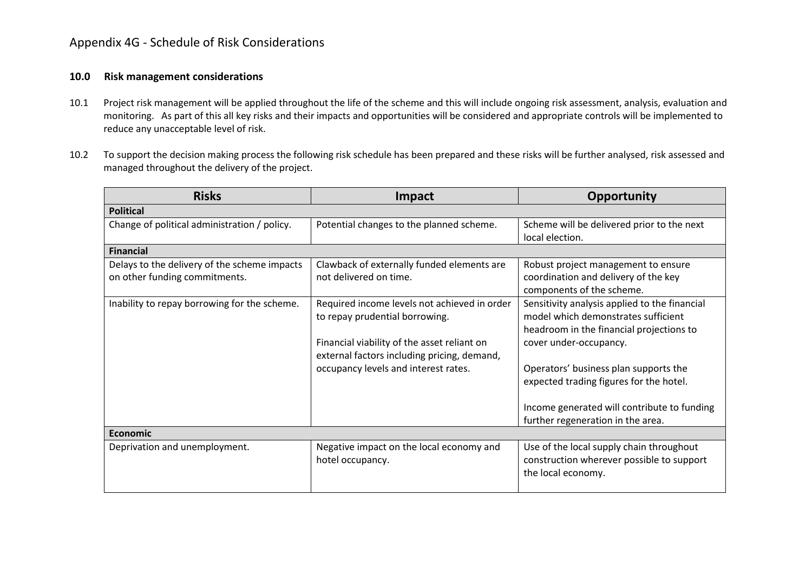## Appendix 4G - Schedule of Risk Considerations

## **10.0 Risk management considerations**

- 10.1 Project risk management will be applied throughout the life of the scheme and this will include ongoing risk assessment, analysis, evaluation and monitoring. As part of this all key risks and their impacts and opportunities will be considered and appropriate controls will be implemented to reduce any unacceptable level of risk.
- 10.2 To support the decision making process the following risk schedule has been prepared and these risks will be further analysed, risk assessed and managed throughout the delivery of the project.

| <b>Risks</b>                                 | Impact                                       | Opportunity                                   |  |
|----------------------------------------------|----------------------------------------------|-----------------------------------------------|--|
| <b>Political</b>                             |                                              |                                               |  |
| Change of political administration / policy. | Potential changes to the planned scheme.     | Scheme will be delivered prior to the next    |  |
|                                              |                                              | local election.                               |  |
| <b>Financial</b>                             |                                              |                                               |  |
| Delays to the delivery of the scheme impacts | Clawback of externally funded elements are   | Robust project management to ensure           |  |
| on other funding commitments.                | not delivered on time.                       | coordination and delivery of the key          |  |
|                                              |                                              | components of the scheme.                     |  |
| Inability to repay borrowing for the scheme. | Required income levels not achieved in order | Sensitivity analysis applied to the financial |  |
|                                              | to repay prudential borrowing.               | model which demonstrates sufficient           |  |
|                                              |                                              | headroom in the financial projections to      |  |
|                                              | Financial viability of the asset reliant on  | cover under-occupancy.                        |  |
|                                              | external factors including pricing, demand,  |                                               |  |
|                                              | occupancy levels and interest rates.         | Operators' business plan supports the         |  |
|                                              |                                              | expected trading figures for the hotel.       |  |
|                                              |                                              |                                               |  |
|                                              |                                              | Income generated will contribute to funding   |  |
|                                              |                                              | further regeneration in the area.             |  |
| <b>Economic</b>                              |                                              |                                               |  |
| Deprivation and unemployment.                | Negative impact on the local economy and     | Use of the local supply chain throughout      |  |
|                                              | hotel occupancy.                             | construction wherever possible to support     |  |
|                                              |                                              | the local economy.                            |  |
|                                              |                                              |                                               |  |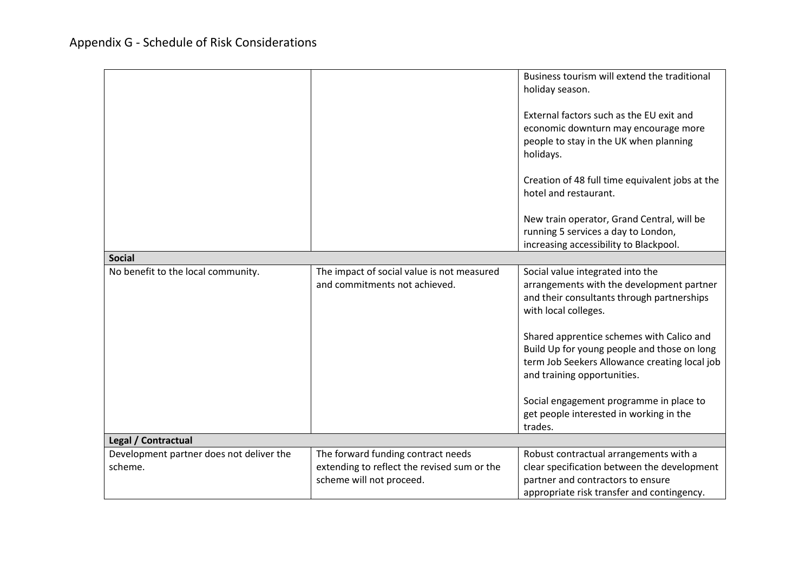|                                          |                                                                             | Business tourism will extend the traditional<br>holiday season.<br>External factors such as the EU exit and<br>economic downturn may encourage more<br>people to stay in the UK when planning<br>holidays.<br>Creation of 48 full time equivalent jobs at the<br>hotel and restaurant.<br>New train operator, Grand Central, will be<br>running 5 services a day to London,<br>increasing accessibility to Blackpool.            |
|------------------------------------------|-----------------------------------------------------------------------------|----------------------------------------------------------------------------------------------------------------------------------------------------------------------------------------------------------------------------------------------------------------------------------------------------------------------------------------------------------------------------------------------------------------------------------|
| <b>Social</b>                            |                                                                             |                                                                                                                                                                                                                                                                                                                                                                                                                                  |
| No benefit to the local community.       | The impact of social value is not measured<br>and commitments not achieved. | Social value integrated into the<br>arrangements with the development partner<br>and their consultants through partnerships<br>with local colleges.<br>Shared apprentice schemes with Calico and<br>Build Up for young people and those on long<br>term Job Seekers Allowance creating local job<br>and training opportunities.<br>Social engagement programme in place to<br>get people interested in working in the<br>trades. |
| Legal / Contractual                      |                                                                             |                                                                                                                                                                                                                                                                                                                                                                                                                                  |
| Development partner does not deliver the | The forward funding contract needs                                          | Robust contractual arrangements with a                                                                                                                                                                                                                                                                                                                                                                                           |
| scheme.                                  | extending to reflect the revised sum or the                                 | clear specification between the development                                                                                                                                                                                                                                                                                                                                                                                      |
|                                          | scheme will not proceed.                                                    | partner and contractors to ensure                                                                                                                                                                                                                                                                                                                                                                                                |
|                                          |                                                                             |                                                                                                                                                                                                                                                                                                                                                                                                                                  |
|                                          |                                                                             | appropriate risk transfer and contingency.                                                                                                                                                                                                                                                                                                                                                                                       |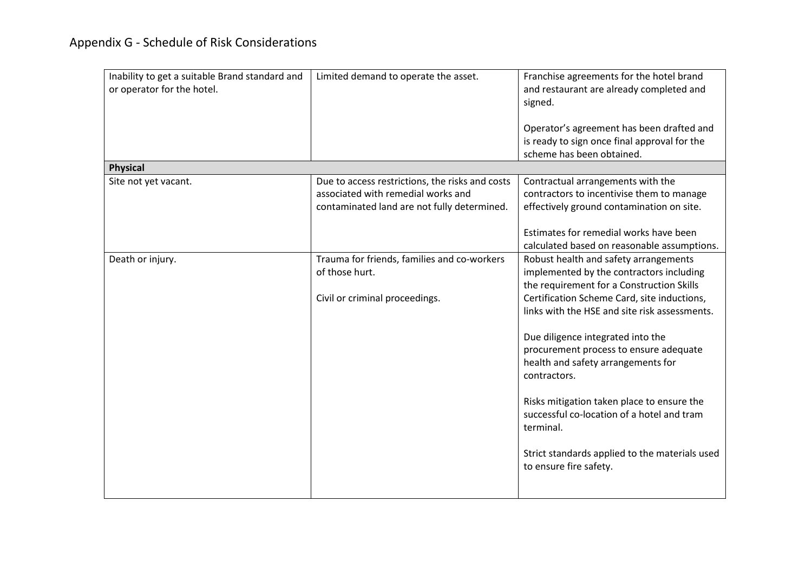| Inability to get a suitable Brand standard and<br>or operator for the hotel. | Limited demand to operate the asset.                                                                                                 | Franchise agreements for the hotel brand<br>and restaurant are already completed and<br>signed.<br>Operator's agreement has been drafted and<br>is ready to sign once final approval for the<br>scheme has been obtained.                                                                                                                                                                                                                                                                                                                                |
|------------------------------------------------------------------------------|--------------------------------------------------------------------------------------------------------------------------------------|----------------------------------------------------------------------------------------------------------------------------------------------------------------------------------------------------------------------------------------------------------------------------------------------------------------------------------------------------------------------------------------------------------------------------------------------------------------------------------------------------------------------------------------------------------|
| <b>Physical</b>                                                              |                                                                                                                                      |                                                                                                                                                                                                                                                                                                                                                                                                                                                                                                                                                          |
| Site not yet vacant.                                                         | Due to access restrictions, the risks and costs<br>associated with remedial works and<br>contaminated land are not fully determined. | Contractual arrangements with the<br>contractors to incentivise them to manage<br>effectively ground contamination on site.<br>Estimates for remedial works have been<br>calculated based on reasonable assumptions.                                                                                                                                                                                                                                                                                                                                     |
| Death or injury.                                                             | Trauma for friends, families and co-workers<br>of those hurt.<br>Civil or criminal proceedings.                                      | Robust health and safety arrangements<br>implemented by the contractors including<br>the requirement for a Construction Skills<br>Certification Scheme Card, site inductions,<br>links with the HSE and site risk assessments.<br>Due diligence integrated into the<br>procurement process to ensure adequate<br>health and safety arrangements for<br>contractors.<br>Risks mitigation taken place to ensure the<br>successful co-location of a hotel and tram<br>terminal.<br>Strict standards applied to the materials used<br>to ensure fire safety. |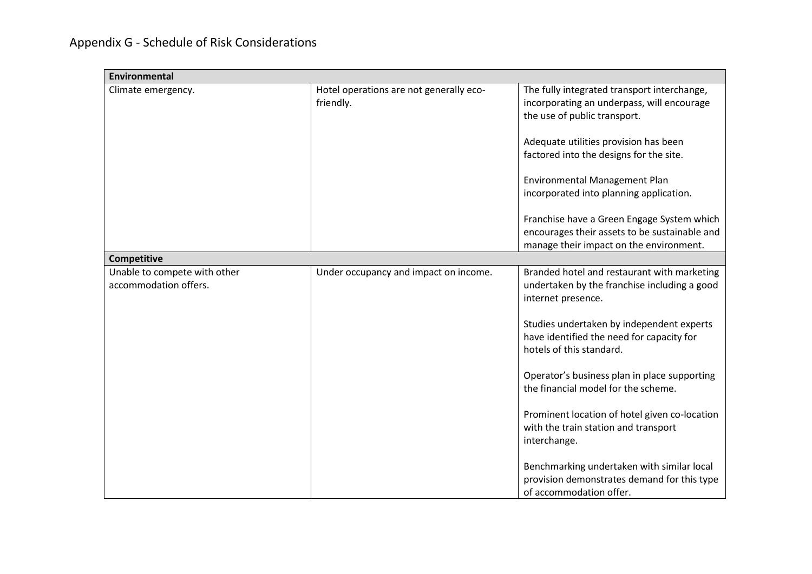| Environmental                |                                         |                                               |
|------------------------------|-----------------------------------------|-----------------------------------------------|
| Climate emergency.           | Hotel operations are not generally eco- | The fully integrated transport interchange,   |
|                              | friendly.                               | incorporating an underpass, will encourage    |
|                              |                                         | the use of public transport.                  |
|                              |                                         | Adequate utilities provision has been         |
|                              |                                         | factored into the designs for the site.       |
|                              |                                         |                                               |
|                              |                                         | Environmental Management Plan                 |
|                              |                                         | incorporated into planning application.       |
|                              |                                         |                                               |
|                              |                                         | Franchise have a Green Engage System which    |
|                              |                                         | encourages their assets to be sustainable and |
|                              |                                         | manage their impact on the environment.       |
| <b>Competitive</b>           |                                         |                                               |
| Unable to compete with other | Under occupancy and impact on income.   | Branded hotel and restaurant with marketing   |
| accommodation offers.        |                                         | undertaken by the franchise including a good  |
|                              |                                         | internet presence.                            |
|                              |                                         | Studies undertaken by independent experts     |
|                              |                                         | have identified the need for capacity for     |
|                              |                                         | hotels of this standard.                      |
|                              |                                         |                                               |
|                              |                                         | Operator's business plan in place supporting  |
|                              |                                         | the financial model for the scheme.           |
|                              |                                         |                                               |
|                              |                                         | Prominent location of hotel given co-location |
|                              |                                         | with the train station and transport          |
|                              |                                         | interchange.                                  |
|                              |                                         | Benchmarking undertaken with similar local    |
|                              |                                         | provision demonstrates demand for this type   |
|                              |                                         | of accommodation offer.                       |